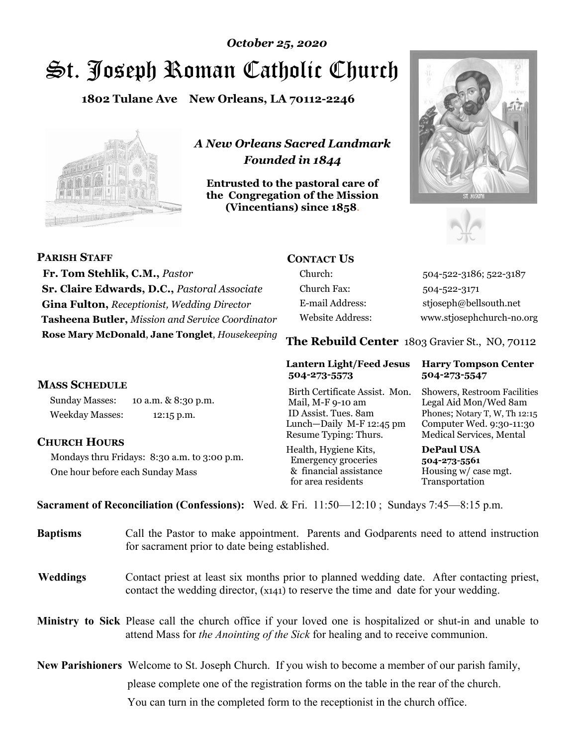# St. Joseph Roman Catholic Church *October 25, 2020*

**1802 Tulane Ave New Orleans, LA 70112-2246**



*A New Orleans Sacred Landmark Founded in 1844* 

**Entrusted to the pastoral care of the Congregation of the Mission (Vincentians) since 1858**.





| <b>PARISH STAFF</b>                                 | <b>CONTACT US</b>       |                                                |
|-----------------------------------------------------|-------------------------|------------------------------------------------|
| Fr. Tom Stehlik, C.M., Pastor                       | Church:                 | 504-522-3186; 522-3187                         |
| <b>Sr. Claire Edwards, D.C., Pastoral Associate</b> | Church Fax:             | 504-522-3171                                   |
| <b>Gina Fulton, Receptionist, Wedding Director</b>  | E-mail Address:         | stjoseph@bellsouth.net                         |
| Tasheena Butler, Mission and Service Coordinator    | <b>Website Address:</b> | www.stjosephchurch-no.org                      |
| Rose Mary McDonald, Jane Tonglet, Housekeeping      |                         | The Rebuild Center 1803 Gravier St., NO, 70112 |

#### **MASS SCHEDULE**

Sunday Masses: 10 a.m. & 8:30 p.m. Weekday Masses: 12:15 p.m.

#### **CHURCH HOURS**

Mondays thru Fridays: 8:30 a.m. to 3:00 p.m. One hour before each Sunday Mass

#### **Lantern Light/Feed Jesus Harry Tompson Center 504-273-5573 504-273-5547**

Birth Certificate Assist. Mon. Showers, Restroom Facilities Mail, M-F 9-10 am Legal Aid Mon/Wed 8am ID Assist. Tues. 8am Phones; Notary T, W, Th 12:15 Lunch—Daily M-F 12:45 pm Computer Wed. 9:30-11:30 Resume Typing: Thurs. Medical Services, Mental

Health, Hygiene Kits, **DePaul USA**  Emergency groceries **504-273-5561** & financial assistance Housing w/ case mgt.<br>for area residents Transportation for area residents

**Sacrament of Reconciliation (Confessions):** Wed. & Fri. 11:50—12:10 ; Sundays 7:45—8:15 p.m.

| <b>Baptisms</b> | Call the Pastor to make appointment. Parents and Godparents need to attend instruction<br>for sacrament prior to date being established.                                                     |  |
|-----------------|----------------------------------------------------------------------------------------------------------------------------------------------------------------------------------------------|--|
| <b>Weddings</b> | Contact priest at least six months prior to planned wedding date. After contacting priest,<br>contact the wedding director, (x141) to reserve the time and date for your wedding.            |  |
|                 | Ministry to Sick Please call the church office if your loved one is hospitalized or shut-in and unable to<br>attend Mass for the Anointing of the Sick for healing and to receive communion. |  |
|                 | <b>New Parishioners</b> Welcome to St. Joseph Church. If you wish to become a member of our parish family,                                                                                   |  |
|                 | please complete one of the registration forms on the table in the rear of the church.                                                                                                        |  |
|                 | You can turn in the completed form to the receptionist in the church office.                                                                                                                 |  |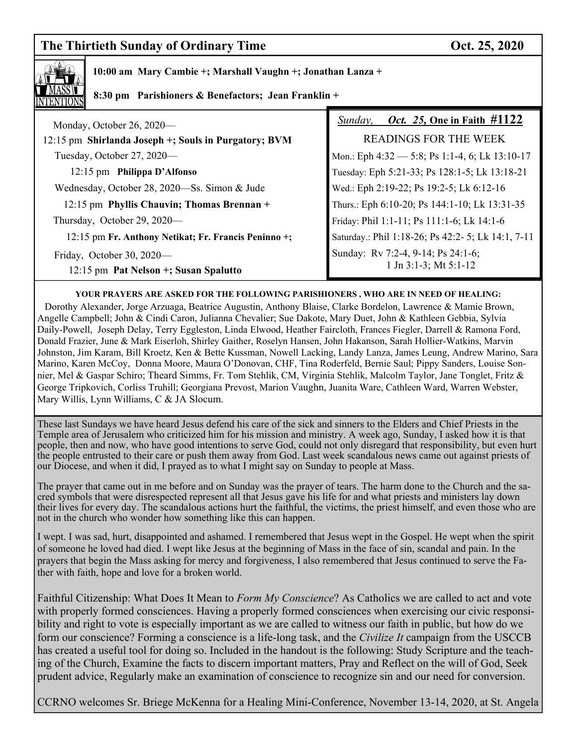## **The Thirtieth Sunday of Ordinary Time Contract Contract Contract Contract Contract Contract Oct. 25, 2020**



 **10:00 am Mary Cambie +; Marshall Vaughn +; Jonathan Lanza +**

 **8:30 pm Parishioners & Benefactors; Jean Franklin +** 

| Monday, October 26, 2020—                                          | <i>Oct.</i> 25, One in Faith #1122<br>Sunday,                    |  |
|--------------------------------------------------------------------|------------------------------------------------------------------|--|
| 12:15 pm Shirlanda Joseph +; Souls in Purgatory; BVM               | READINGS FOR THE WEEK                                            |  |
| Tuesday, October 27, 2020—                                         | Mon.: Eph 4:32 - 5:8; Ps 1:1-4, 6; Lk 13:10-17                   |  |
| 12:15 pm Philippa D'Alfonso                                        | Tuesday: Eph 5:21-33; Ps 128:1-5; Lk 13:18-21                    |  |
| Wednesday, October 28, 2020—Ss. Simon & Jude                       | Wed.: Eph 2:19-22; Ps 19:2-5; Lk 6:12-16                         |  |
| 12:15 pm Phyllis Chauvin; Thomas Brennan +                         | Thurs.: Eph 6:10-20; Ps 144:1-10; Lk 13:31-35                    |  |
| Thursday, October 29, 2020—                                        | Friday: Phil 1:1-11; Ps 111:1-6; Lk 14:1-6                       |  |
| 12:15 pm Fr. Anthony Netikat; Fr. Francis Peninno +;               | Saturday.: Phil 1:18-26; Ps 42:2- 5; Lk 14:1, 7-11               |  |
| Friday, October 30, 2020-<br>12:15 pm Pat Nelson +; Susan Spalutto | Sunday: Rv 7:2-4, 9-14; Ps 24:1-6;<br>1 Jn $3:1-3$ ; Mt $5:1-12$ |  |

**YOUR PRAYERS ARE ASKED FOR THE FOLLOWING PARISHIONERS , WHO ARE IN NEED OF HEALING:** 

 Dorothy Alexander, Jorge Arzuaga, Beatrice Augustin, Anthony Blaise, Clarke Bordelon, Lawrence & Mamie Brown, Angelle Campbell; John & Cindi Caron, Julianna Chevalier; Sue Dakote, Mary Duet, John & Kathleen Gebbia, Sylvia Daily-Powell, Joseph Delay, Terry Eggleston, Linda Elwood, Heather Faircloth, Frances Fiegler, Darrell & Ramona Ford, Donald Frazier, June & Mark Eiserloh, Shirley Gaither, Roselyn Hansen, John Hakanson, Sarah Hollier-Watkins, Marvin Johnston, Jim Karam, Bill Kroetz, Ken & Bette Kussman, Nowell Lacking, Landy Lanza, James Leung, Andrew Marino, Sara Marino, Karen McCoy, Donna Moore, Maura O'Donovan, CHF, Tina Roderfeld, Bernie Saul; Pippy Sanders, Louise Sonnier, Mel & Gaspar Schiro; Theard Simms, Fr. Tom Stehlik, CM, Virginia Stehlik, Malcolm Taylor, Jane Tonglet, Fritz & George Tripkovich, Corliss Truhill; Georgiana Prevost, Marion Vaughn, Juanita Ware, Cathleen Ward, Warren Webster, Mary Willis, Lynn Williams, C & JA Slocum.

These last Sundays we have heard Jesus defend his care of the sick and sinners to the Elders and Chief Priests in the Temple area of Jerusalem who criticized him for his mission and ministry. A week ago, Sunday, I asked how it is that people, then and now, who have good intentions to serve God, could not only disregard that responsibility, but even hurt the people entrusted to their care or push them away from God. Last week scandalous news came out against priests of our Diocese, and when it did, I prayed as to what I might say on Sunday to people at Mass.

The prayer that came out in me before and on Sunday was the prayer of tears. The harm done to the Church and the sacred symbols that were disrespected represent all that Jesus gave his life for and what priests and ministers lay down their lives for every day. The scandalous actions hurt the faithful, the victims, the priest himself, and even those who are not in the church who wonder how something like this can happen.

I wept. I was sad, hurt, disappointed and ashamed. I remembered that Jesus wept in the Gospel. He wept when the spirit of someone he loved had died. I wept like Jesus at the beginning of Mass in the face of sin, scandal and pain. In the prayers that begin the Mass asking for mercy and forgiveness, I also remembered that Jesus continued to serve the Father with faith, hope and love for a broken world.

Faithful Citizenship: What Does It Mean to *Form My Conscience*? As Catholics we are called to act and vote with properly formed consciences. Having a properly formed consciences when exercising our civic responsibility and right to vote is especially important as we are called to witness our faith in public, but how do we form our conscience? Forming a conscience is a life-long task, and the *Civilize It* campaign from the USCCB has created a useful tool for doing so. Included in the handout is the following: Study Scripture and the teaching of the Church, Examine the facts to discern important matters, Pray and Reflect on the will of God, Seek prudent advice, Regularly make an examination of conscience to recognize sin and our need for conversion.

CCRNO welcomes Sr. Briege McKenna for a Healing Mini-Conference, November 13-14, 2020, at St. Angela